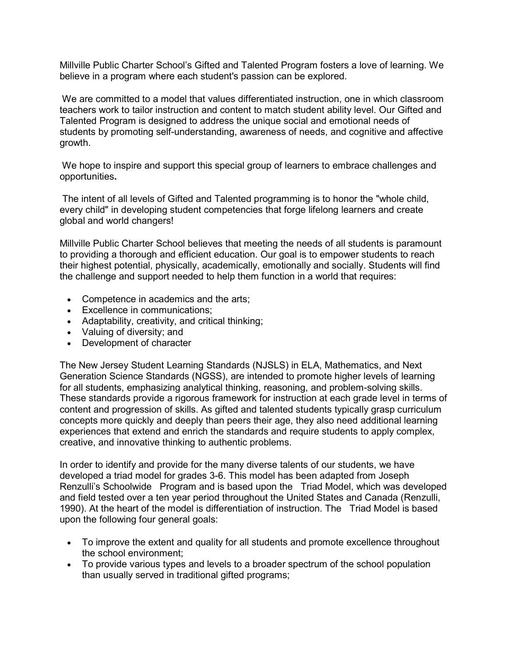Millville Public Charter School's Gifted and Talented Program fosters a love of learning. We believe in a program where each student's passion can be explored.

 We are committed to a model that values differentiated instruction, one in which classroom teachers work to tailor instruction and content to match student ability level. Our Gifted and Talented Program is designed to address the unique social and emotional needs of students by promoting self-understanding, awareness of needs, and cognitive and affective growth.

 We hope to inspire and support this special group of learners to embrace challenges and opportunities**.** 

 The intent of all levels of Gifted and Talented programming is to honor the "whole child, every child" in developing student competencies that forge lifelong learners and create global and world changers!

Millville Public Charter School believes that meeting the needs of all students is paramount to providing a thorough and efficient education. Our goal is to empower students to reach their highest potential, physically, academically, emotionally and socially. Students will find the challenge and support needed to help them function in a world that requires:

- Competence in academics and the arts;
- Excellence in communications;
- Adaptability, creativity, and critical thinking;
- Valuing of diversity; and
- Development of character

The New Jersey Student Learning Standards (NJSLS) in ELA, Mathematics, and Next Generation Science Standards (NGSS), are intended to promote higher levels of learning for all students, emphasizing analytical thinking, reasoning, and problem-solving skills. These standards provide a rigorous framework for instruction at each grade level in terms of content and progression of skills. As gifted and talented students typically grasp curriculum concepts more quickly and deeply than peers their age, they also need additional learning experiences that extend and enrich the standards and require students to apply complex, creative, and innovative thinking to authentic problems.

In order to identify and provide for the many diverse talents of our students, we have developed a triad model for grades 3-6. This model has been adapted from Joseph Renzulli's Schoolwide Program and is based upon the Triad Model, which was developed and field tested over a ten year period throughout the United States and Canada (Renzulli, 1990). At the heart of the model is differentiation of instruction. The Triad Model is based upon the following four general goals:

- To improve the extent and quality for all students and promote excellence throughout the school environment;
- To provide various types and levels to a broader spectrum of the school population than usually served in traditional gifted programs;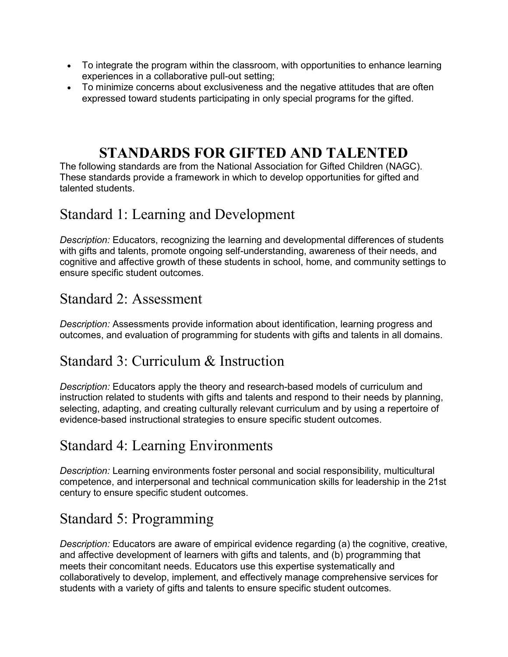- To integrate the program within the classroom, with opportunities to enhance learning experiences in a collaborative pull-out setting;
- To minimize concerns about exclusiveness and the negative attitudes that are often expressed toward students participating in only special programs for the gifted.

#### **STANDARDS FOR GIFTED AND TALENTED**

The following standards are from the National Association for Gifted Children (NAGC). These standards provide a framework in which to develop opportunities for gifted and talented students.

## Standard 1: Learning and Development

*Description:* Educators, recognizing the learning and developmental differences of students with gifts and talents, promote ongoing self-understanding, awareness of their needs, and cognitive and affective growth of these students in school, home, and community settings to ensure specific student outcomes.

#### Standard 2: Assessment

*Description:* Assessments provide information about identification, learning progress and outcomes, and evaluation of programming for students with gifts and talents in all domains.

#### Standard 3: Curriculum & Instruction

*Description:* Educators apply the theory and research-based models of curriculum and instruction related to students with gifts and talents and respond to their needs by planning, selecting, adapting, and creating culturally relevant curriculum and by using a repertoire of evidence-based instructional strategies to ensure specific student outcomes.

#### Standard 4: Learning Environments

*Description:* Learning environments foster personal and social responsibility, multicultural competence, and interpersonal and technical communication skills for leadership in the 21st century to ensure specific student outcomes.

## Standard 5: Programming

*Description:* Educators are aware of empirical evidence regarding (a) the cognitive, creative, and affective development of learners with gifts and talents, and (b) programming that meets their concomitant needs. Educators use this expertise systematically and collaboratively to develop, implement, and effectively manage comprehensive services for students with a variety of gifts and talents to ensure specific student outcomes.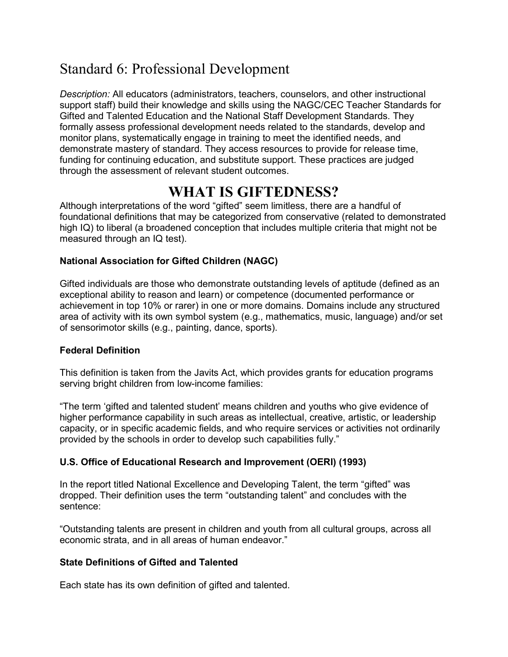## Standard 6: Professional Development

*Description:* All educators (administrators, teachers, counselors, and other instructional support staff) build their knowledge and skills using the NAGC/CEC Teacher Standards for Gifted and Talented Education and the National Staff Development Standards. They formally assess professional development needs related to the standards, develop and monitor plans, systematically engage in training to meet the identified needs, and demonstrate mastery of standard. They access resources to provide for release time, funding for continuing education, and substitute support. These practices are judged through the assessment of relevant student outcomes.

#### **WHAT IS GIFTEDNESS?**

Although interpretations of the word "gifted" seem limitless, there are a handful of foundational definitions that may be categorized from conservative (related to demonstrated high IQ) to liberal (a broadened conception that includes multiple criteria that might not be measured through an IQ test).

#### **National Association for Gifted Children (NAGC)**

Gifted individuals are those who demonstrate outstanding levels of aptitude (defined as an exceptional ability to reason and learn) or competence (documented performance or achievement in top 10% or rarer) in one or more domains. Domains include any structured area of activity with its own symbol system (e.g., mathematics, music, language) and/or set of sensorimotor skills (e.g., painting, dance, sports).

#### **Federal Definition**

This definition is taken from the Javits Act, which provides grants for education programs serving bright children from low-income families:

"The term 'gifted and talented student' means children and youths who give evidence of higher performance capability in such areas as intellectual, creative, artistic, or leadership capacity, or in specific academic fields, and who require services or activities not ordinarily provided by the schools in order to develop such capabilities fully."

#### **U.S. Office of Educational Research and Improvement (OERI) (1993)**

In the report titled National Excellence and Developing Talent, the term "gifted" was dropped. Their definition uses the term "outstanding talent" and concludes with the sentence:

"Outstanding talents are present in children and youth from all cultural groups, across all economic strata, and in all areas of human endeavor."

#### **State Definitions of Gifted and Talented**

Each state has its own definition of gifted and talented.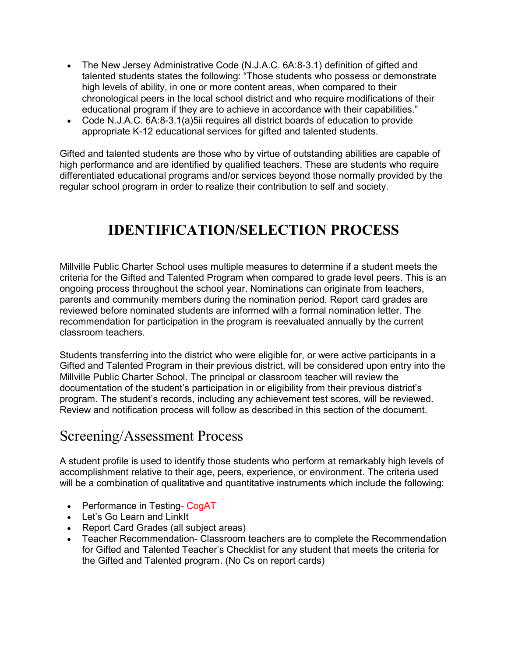- The New Jersey Administrative Code (N.J.A.C. 6A:8-3.1) definition of gifted and talented students states the following: "Those students who possess or demonstrate high levels of ability, in one or more content areas, when compared to their chronological peers in the local school district and who require modifications of their educational program if they are to achieve in accordance with their capabilities."
- Code N.J.A.C. 6A:8-3.1(a)5ii requires all district boards of education to provide appropriate K-12 educational services for gifted and talented students.

Gifted and talented students are those who by virtue of outstanding abilities are capable of high performance and are identified by qualified teachers. These are students who require differentiated educational programs and/or services beyond those normally provided by the regular school program in order to realize their contribution to self and society.

## **IDENTIFICATION/SELECTION PROCESS**

Millville Public Charter School uses multiple measures to determine if a student meets the criteria for the Gifted and Talented Program when compared to grade level peers. This is an ongoing process throughout the school year. Nominations can originate from teachers, parents and community members during the nomination period. Report card grades are reviewed before nominated students are informed with a formal nomination letter. The recommendation for participation in the program is reevaluated annually by the current classroom teachers.

Students transferring into the district who were eligible for, or were active participants in a Gifted and Talented Program in their previous district, will be considered upon entry into the Millville Public Charter School. The principal or classroom teacher will review the documentation of the student's participation in or eligibility from their previous district's program. The student's records, including any achievement test scores, will be reviewed. Review and notification process will follow as described in this section of the document.

#### Screening/Assessment Process

A student profile is used to identify those students who perform at remarkably high levels of accomplishment relative to their age, peers, experience, or environment. The criteria used will be a combination of qualitative and quantitative instruments which include the following:

- Performance in Testing- CogAT
- Let's Go Learn and LinkIt
- Report Card Grades (all subject areas)
- Teacher Recommendation- Classroom teachers are to complete the Recommendation for Gifted and Talented Teacher's Checklist for any student that meets the criteria for the Gifted and Talented program. (No Cs on report cards)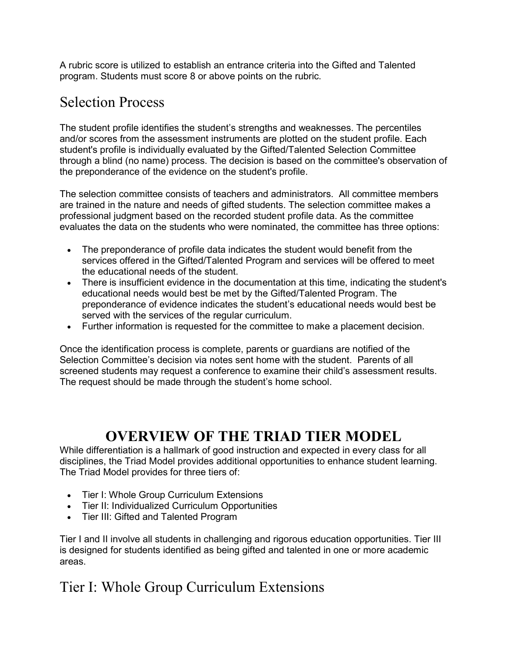A rubric score is utilized to establish an entrance criteria into the Gifted and Talented program. Students must score 8 or above points on the rubric.

#### Selection Process

The student profile identifies the student's strengths and weaknesses. The percentiles and/or scores from the assessment instruments are plotted on the student profile. Each student's profile is individually evaluated by the Gifted/Talented Selection Committee through a blind (no name) process. The decision is based on the committee's observation of the preponderance of the evidence on the student's profile.

The selection committee consists of teachers and administrators. All committee members are trained in the nature and needs of gifted students. The selection committee makes a professional judgment based on the recorded student profile data. As the committee evaluates the data on the students who were nominated, the committee has three options:

- The preponderance of profile data indicates the student would benefit from the services offered in the Gifted/Talented Program and services will be offered to meet the educational needs of the student.
- There is insufficient evidence in the documentation at this time, indicating the student's educational needs would best be met by the Gifted/Talented Program. The preponderance of evidence indicates the student's educational needs would best be served with the services of the regular curriculum.
- Further information is requested for the committee to make a placement decision.

Once the identification process is complete, parents or guardians are notified of the Selection Committee's decision via notes sent home with the student. Parents of all screened students may request a conference to examine their child's assessment results. The request should be made through the student's home school.

#### **OVERVIEW OF THE TRIAD TIER MODEL**

While differentiation is a hallmark of good instruction and expected in every class for all disciplines, the Triad Model provides additional opportunities to enhance student learning. The Triad Model provides for three tiers of:

- Tier I: Whole Group Curriculum Extensions
- Tier II: Individualized Curriculum Opportunities
- Tier III: Gifted and Talented Program

Tier I and II involve all students in challenging and rigorous education opportunities. Tier III is designed for students identified as being gifted and talented in one or more academic areas.

#### Tier I: Whole Group Curriculum Extensions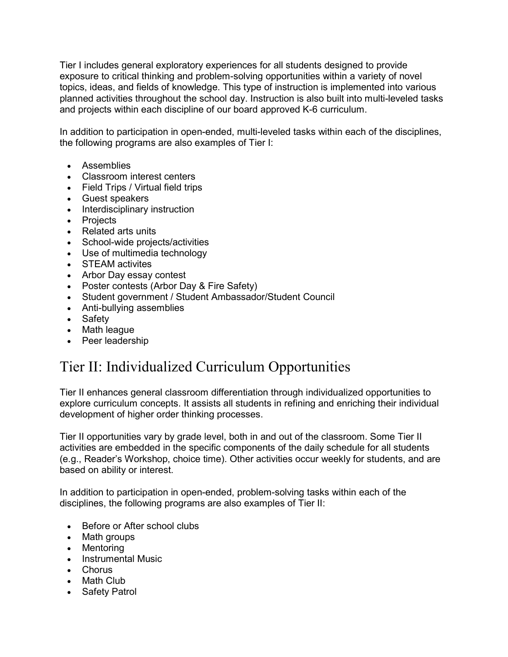Tier I includes general exploratory experiences for all students designed to provide exposure to critical thinking and problem-solving opportunities within a variety of novel topics, ideas, and fields of knowledge. This type of instruction is implemented into various planned activities throughout the school day. Instruction is also built into multi-leveled tasks and projects within each discipline of our board approved K-6 curriculum.

In addition to participation in open-ended, multi-leveled tasks within each of the disciplines, the following programs are also examples of Tier I:

- Assemblies
- Classroom interest centers
- Field Trips / Virtual field trips
- Guest speakers
- Interdisciplinary instruction
- **Projects**
- Related arts units
- School-wide projects/activities
- Use of multimedia technology
- STEAM activites
- Arbor Day essay contest
- Poster contests (Arbor Day & Fire Safety)
- Student government / Student Ambassador/Student Council
- Anti-bullying assemblies
- Safety
- Math league
- Peer leadership

#### Tier II: Individualized Curriculum Opportunities

Tier II enhances general classroom differentiation through individualized opportunities to explore curriculum concepts. It assists all students in refining and enriching their individual development of higher order thinking processes.

Tier II opportunities vary by grade level, both in and out of the classroom. Some Tier II activities are embedded in the specific components of the daily schedule for all students (e.g., Reader's Workshop, choice time). Other activities occur weekly for students, and are based on ability or interest.

In addition to participation in open-ended, problem-solving tasks within each of the disciplines, the following programs are also examples of Tier II:

- Before or After school clubs
- Math groups
- Mentoring
- Instrumental Music
- Chorus
- Math Club
- Safety Patrol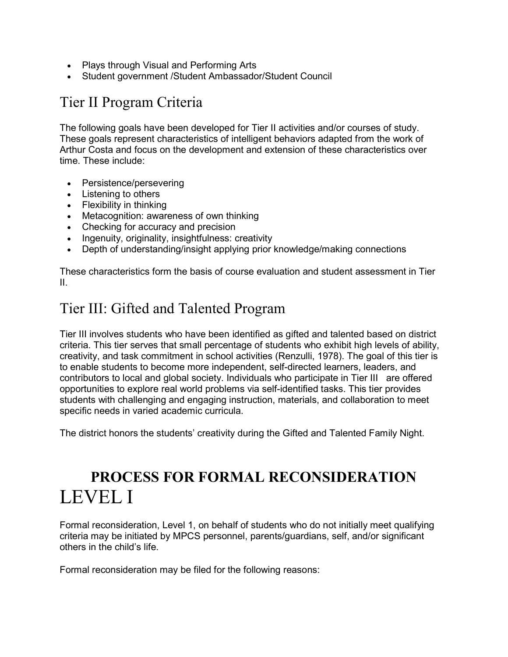- Plays through Visual and Performing Arts
- Student government /Student Ambassador/Student Council

## Tier II Program Criteria

The following goals have been developed for Tier II activities and/or courses of study. These goals represent characteristics of intelligent behaviors adapted from the work of Arthur Costa and focus on the development and extension of these characteristics over time. These include:

- Persistence/persevering
- Listening to others
- Flexibility in thinking
- Metacognition: awareness of own thinking
- Checking for accuracy and precision
- Ingenuity, originality, insightfulness: creativity
- Depth of understanding/insight applying prior knowledge/making connections

These characteristics form the basis of course evaluation and student assessment in Tier II.

#### Tier III: Gifted and Talented Program

Tier III involves students who have been identified as gifted and talented based on district criteria. This tier serves that small percentage of students who exhibit high levels of ability, creativity, and task commitment in school activities (Renzulli, 1978). The goal of this tier is to enable students to become more independent, self-directed learners, leaders, and contributors to local and global society. Individuals who participate in Tier III are offered opportunities to explore real world problems via self-identified tasks. This tier provides students with challenging and engaging instruction, materials, and collaboration to meet specific needs in varied academic curricula.

The district honors the students' creativity during the Gifted and Talented Family Night.

# **PROCESS FOR FORMAL RECONSIDERATION**  LEVEL I

Formal reconsideration, Level 1, on behalf of students who do not initially meet qualifying criteria may be initiated by MPCS personnel, parents/guardians, self, and/or significant others in the child's life.

Formal reconsideration may be filed for the following reasons: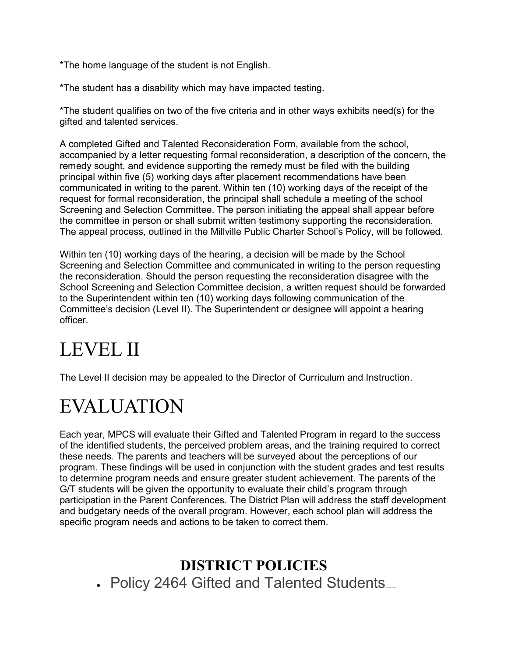\*The home language of the student is not English.

\*The student has a disability which may have impacted testing.

\*The student qualifies on two of the five criteria and in other ways exhibits need(s) for the gifted and talented services.

A completed Gifted and Talented Reconsideration Form, available from the school, accompanied by a letter requesting formal reconsideration, a description of the concern, the remedy sought, and evidence supporting the remedy must be filed with the building principal within five (5) working days after placement recommendations have been communicated in writing to the parent. Within ten (10) working days of the receipt of the request for formal reconsideration, the principal shall schedule a meeting of the school Screening and Selection Committee. The person initiating the appeal shall appear before the committee in person or shall submit written testimony supporting the reconsideration. The appeal process, outlined in the Millville Public Charter School's Policy, will be followed.

Within ten (10) working days of the hearing, a decision will be made by the School Screening and Selection Committee and communicated in writing to the person requesting the reconsideration. Should the person requesting the reconsideration disagree with the School Screening and Selection Committee decision, a written request should be forwarded to the Superintendent within ten (10) working days following communication of the Committee's decision (Level II). The Superintendent or designee will appoint a hearing officer.

# LEVEL II

The Level II decision may be appealed to the Director of Curriculum and Instruction.

# **EVALUATION**

Each year, MPCS will evaluate their Gifted and Talented Program in regard to the success of the identified students, the perceived problem areas, and the training required to correct these needs. The parents and teachers will be surveyed about the perceptions of our program. These findings will be used in conjunction with the student grades and test results to determine program needs and ensure greater student achievement. The parents of the G/T students will be given the opportunity to evaluate their child's program through participation in the Parent Conferences. The District Plan will address the staff development and budgetary needs of the overall program. However, each school plan will address the specific program needs and actions to be taken to correct them.

## **DISTRICT POLICIES**

• Policy 2464 Gifted and Talented Students